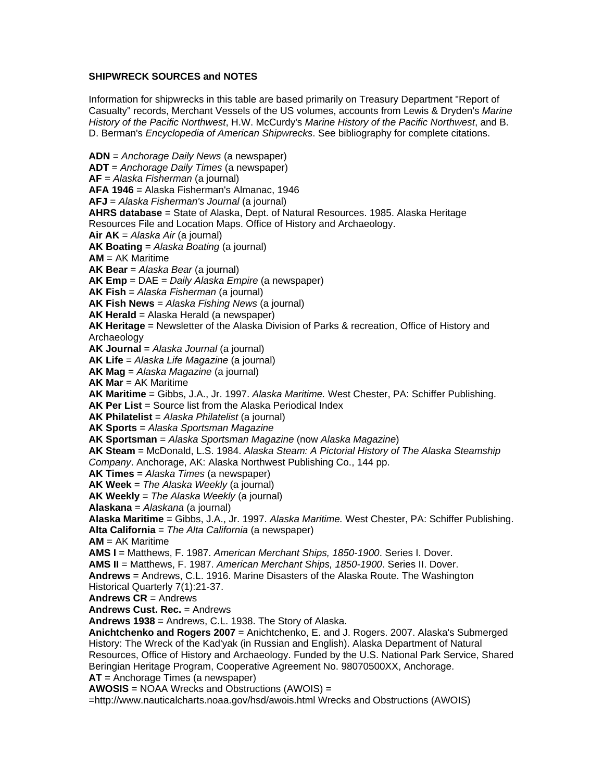## **SHIPWRECK SOURCES and NOTES**

Information for shipwrecks in this table are based primarily on Treasury Department "Report of Casualty" records, Merchant Vessels of the US volumes, accounts from Lewis & Dryden's *Marine History of the Pacific Northwest*, H.W. McCurdy's *Marine History of the Pacific Northwest*, and B. D. Berman's *Encyclopedia of American Shipwrecks*. See bibliography for complete citations.

**ADN** = *Anchorage Daily News* (a newspaper) **ADT** = *Anchorage Daily Times* (a newspaper) **AF** = *Alaska Fisherman* (a journal) **AFA 1946** = Alaska Fisherman's Almanac, 1946 **AFJ** = *Alaska Fisherman's Journal* (a journal) **AHRS database** = State of Alaska, Dept. of Natural Resources. 1985. Alaska Heritage Resources File and Location Maps. Office of History and Archaeology. **Air AK** = *Alaska Air* (a journal) **AK Boating** = *Alaska Boating* (a journal) **AM** = AK Maritime **AK Bear** = *Alaska Bear* (a journal) **AK Emp** = DAE = *Daily Alaska Empire* (a newspaper) **AK Fish** = *Alaska Fisherman* (a journal) **AK Fish News** = *Alaska Fishing News* (a journal) **AK Herald** = Alaska Herald (a newspaper) **AK Heritage** = Newsletter of the Alaska Division of Parks & recreation, Office of History and Archaeology **AK Journal** = *Alaska Journal* (a journal) **AK Life** = *Alaska Life Magazine* (a journal) **AK Mag** = *Alaska Magazine* (a journal) **AK Mar** = AK Maritime **AK Maritime** = Gibbs, J.A., Jr. 1997. *Alaska Maritime.* West Chester, PA: Schiffer Publishing. **AK Per List** = Source list from the Alaska Periodical Index **AK Philatelist** = *Alaska Philatelist* (a journal) **AK Sports** = *Alaska Sportsman Magazine* **AK Sportsman** = *Alaska Sportsman Magazine* (now *Alaska Magazine*) **AK Steam** = McDonald, L.S. 1984. *Alaska Steam: A Pictorial History of The Alaska Steamship Company*. Anchorage, AK: Alaska Northwest Publishing Co., 144 pp. **AK Times** = *Alaska Times* (a newspaper) **AK Week** = *The Alaska Weekly* (a journal) **AK Weekly** = *The Alaska Weekly* (a journal) **Alaskana** = *Alaskana* (a journal) **Alaska Maritime** = Gibbs, J.A., Jr. 1997. *Alaska Maritime.* West Chester, PA: Schiffer Publishing. **Alta California** = *The Alta California* (a newspaper) **AM** = AK Maritime **AMS I** = Matthews, F. 1987. *American Merchant Ships, 1850-1900*. Series I. Dover. **AMS II** = Matthews, F. 1987. *American Merchant Ships, 1850-1900*. Series II. Dover. **Andrews** = Andrews, C.L. 1916. Marine Disasters of the Alaska Route. The Washington Historical Quarterly 7(1):21-37. **Andrews CR** = Andrews **Andrews Cust. Rec.** = Andrews **Andrews 1938** = Andrews, C.L. 1938. The Story of Alaska. **Anichtchenko and Rogers 2007** = Anichtchenko, E. and J. Rogers. 2007. Alaska's Submerged History: The Wreck of the Kad'yak (in Russian and English). Alaska Department of Natural Resources, Office of History and Archaeology. Funded by the U.S. National Park Service, Shared Beringian Heritage Program, Cooperative Agreement No. 98070500XX, Anchorage. **AT** = Anchorage Times (a newspaper) **AWOSIS** = NOAA Wrecks and Obstructions (AWOIS) = =http://www.nauticalcharts.noaa.gov/hsd/awois.html Wrecks and Obstructions (AWOIS)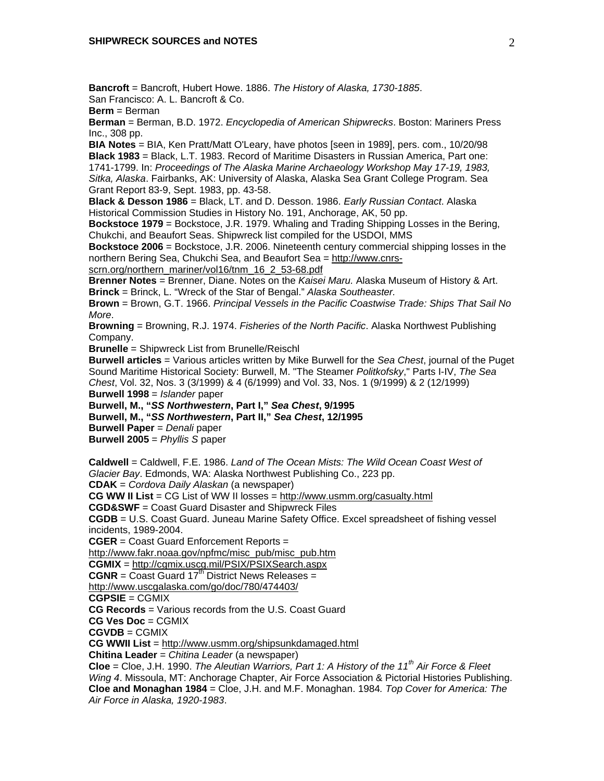**Bancroft** = Bancroft, Hubert Howe. 1886. *The History of Alaska, 1730-1885*. San Francisco: A. L. Bancroft & Co.

**Berm** = Berman

**Berman** = Berman, B.D. 1972. *Encyclopedia of American Shipwrecks*. Boston: Mariners Press Inc., 308 pp.

**BIA Notes** = BIA, Ken Pratt/Matt O'Leary, have photos [seen in 1989], pers. com., 10/20/98 **Black 1983** = Black, L.T. 1983. Record of Maritime Disasters in Russian America, Part one: 1741-1799. In: *Proceedings of The Alaska Marine Archaeology Workshop May 17-19, 1983, Sitka, Alaska*. Fairbanks, AK: University of Alaska, Alaska Sea Grant College Program. Sea Grant Report 83-9, Sept. 1983, pp. 43-58.

**Black & Desson 1986** = Black, LT. and D. Desson. 1986. *Early Russian Contact*. Alaska Historical Commission Studies in History No. 191, Anchorage, AK, 50 pp.

**Bockstoce 1979** = Bockstoce, J.R. 1979. Whaling and Trading Shipping Losses in the Bering, Chukchi, and Beaufort Seas. Shipwreck list compiled for the USDOI, MMS

**Bockstoce 2006** = Bockstoce, J.R. 2006. Nineteenth century commercial shipping losses in the northern Bering Sea, Chukchi Sea, and Beaufort Sea = http://www.cnrs-

scrn.org/northern\_mariner/vol16/tnm\_16\_2\_53-68.pdf

**Brenner Notes** = Brenner, Diane. Notes on the *Kaisei Maru.* Alaska Museum of History & Art. **Brinck** = Brinck, L. "Wreck of the Star of Bengal." *Alaska Southeaster.*

**Brown** = Brown, G.T. 1966. *Principal Vessels in the Pacific Coastwise Trade: Ships That Sail No More*.

**Browning** = Browning, R.J. 1974. *Fisheries of the North Pacific*. Alaska Northwest Publishing Company.

**Brunelle** = Shipwreck List from Brunelle/Reischl

**Burwell articles** = Various articles written by Mike Burwell for the *Sea Chest*, journal of the Puget Sound Maritime Historical Society: Burwell, M. "The Steamer *Politkofsky*," Parts I-IV, *The Sea Chest*, Vol. 32, Nos. 3 (3/1999) & 4 (6/1999) and Vol. 33, Nos. 1 (9/1999) & 2 (12/1999)

**Burwell 1998** = *Islander* paper

**Burwell, M., "***SS Northwestern***, Part I,"** *Sea Chest***, 9/1995** 

**Burwell, M., "***SS Northwestern***, Part II,"** *Sea Chest***, 12/1995** 

**Burwell Paper** = *Denali* paper

**Burwell 2005** = *Phyllis S* paper

**Caldwell** = Caldwell, F.E. 1986. *Land of The Ocean Mists: The Wild Ocean Coast West of Glacier Bay*. Edmonds, WA: Alaska Northwest Publishing Co., 223 pp.

**CDAK** = *Cordova Daily Alaskan* (a newspaper)

**CG WW II List** = CG List of WW II losses = http://www.usmm.org/casualty.html

**CGD&SWF** = Coast Guard Disaster and Shipwreck Files

**CGDB** = U.S. Coast Guard. Juneau Marine Safety Office. Excel spreadsheet of fishing vessel incidents, 1989-2004.

**CGER** = Coast Guard Enforcement Reports =

http://www.fakr.noaa.gov/npfmc/misc\_pub/misc\_pub.htm

**CGMIX** = http://cgmix.uscg.mil/PSIX/PSIXSearch.aspx

 $CGNR =$  Coast Guard 17<sup>th</sup> District News Releases =

http://www.uscgalaska.com/go/doc/780/474403/

**CGPSIE** = CGMIX

**CG Records** = Various records from the U.S. Coast Guard

**CG Ves Doc** = CGMIX

**CGVDB** = CGMIX

**CG WWII List** = http://www.usmm.org/shipsunkdamaged.html

**Chitina Leader** = *Chitina Leader* (a newspaper)

**Cloe** = Cloe, J.H. 1990. *The Aleutian Warriors, Part 1: A History of the 11th Air Force & Fleet Wing 4*. Missoula, MT: Anchorage Chapter, Air Force Association & Pictorial Histories Publishing. **Cloe and Monaghan 1984** = Cloe, J.H. and M.F. Monaghan. 1984*. Top Cover for America: The Air Force in Alaska, 1920-1983*.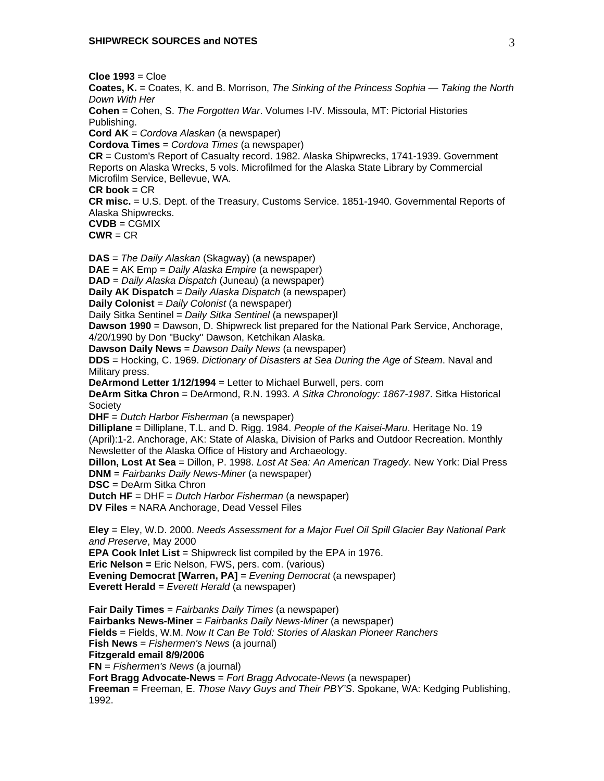**Cloe 1993** = Cloe

**Coates, K.** = Coates, K. and B. Morrison, *The Sinking of the Princess Sophia — Taking the North Down With Her*

**Cohen** = Cohen, S. *The Forgotten War*. Volumes I-IV. Missoula, MT: Pictorial Histories Publishing.

**Cord AK** = *Cordova Alaskan* (a newspaper)

**Cordova Times** = *Cordova Times* (a newspaper)

**CR** = Custom's Report of Casualty record. 1982. Alaska Shipwrecks, 1741-1939. Government Reports on Alaska Wrecks, 5 vols. Microfilmed for the Alaska State Library by Commercial Microfilm Service, Bellevue, WA.

**CR book** = CR

**CR misc.** = U.S. Dept. of the Treasury, Customs Service. 1851-1940. Governmental Reports of Alaska Shipwrecks.

**CVDB** = CGMIX

 $CWR = CR$ 

**DAS** = *The Daily Alaskan* (Skagway) (a newspaper)

**DAE** = AK Emp = *Daily Alaska Empire* (a newspaper)

**DAD** = *Daily Alaska Dispatch* (Juneau) (a newspaper)

**Daily AK Dispatch** = *Daily Alaska Dispatch* (a newspaper)

**Daily Colonist** = *Daily Colonist* (a newspaper)

Daily Sitka Sentinel = *Daily Sitka Sentinel* (a newspaper)l

**Dawson 1990** = Dawson, D. Shipwreck list prepared for the National Park Service, Anchorage, 4/20/1990 by Don "Bucky" Dawson, Ketchikan Alaska.

**Dawson Daily News** = *Dawson Daily News* (a newspaper)

**DDS** = Hocking, C. 1969. *Dictionary of Disasters at Sea During the Age of Steam*. Naval and Military press.

**DeArmond Letter 1/12/1994** = Letter to Michael Burwell, pers. com

**DeArm Sitka Chron** = DeArmond, R.N. 1993. *A Sitka Chronology: 1867-1987*. Sitka Historical **Society** 

**DHF** = *Dutch Harbor Fisherman* (a newspaper)

**Dilliplane** = Dilliplane, T.L. and D. Rigg. 1984. *People of the Kaisei-Maru*. Heritage No. 19 (April):1-2. Anchorage, AK: State of Alaska, Division of Parks and Outdoor Recreation. Monthly Newsletter of the Alaska Office of History and Archaeology.

**Dillon, Lost At Sea** = Dillon, P. 1998. *Lost At Sea: An American Tragedy*. New York: Dial Press **DNM** = *Fairbanks Daily News-Miner* (a newspaper)

**DSC** = DeArm Sitka Chron

**Dutch HF** = DHF = *Dutch Harbor Fisherman* (a newspaper)

**DV Files** = NARA Anchorage, Dead Vessel Files

**Eley** = Eley, W.D. 2000. *Needs Assessment for a Major Fuel Oil Spill Glacier Bay National Park and Preserve*, May 2000 **EPA Cook Inlet List** = Shipwreck list compiled by the EPA in 1976. **Eric Nelson =** Eric Nelson, FWS, pers. com. (various)

**Evening Democrat [Warren, PA]** = *Evening Democrat* (a newspaper)

**Everett Herald** = *Everett Herald* (a newspaper)

**Fair Daily Times** = *Fairbanks Daily Times* (a newspaper) **Fairbanks News-Miner** = *Fairbanks Daily News-Miner* (a newspaper) **Fields** = Fields, W.M. *Now It Can Be Told: Stories of Alaskan Pioneer Ranchers* **Fish News** = *Fishermen's News* (a journal) **Fitzgerald email 8/9/2006 FN** = *Fishermen's News* (a journal) **Fort Bragg Advocate-News** = *Fort Bragg Advocate-News* (a newspaper)

**Freeman** = Freeman, E. *Those Navy Guys and Their PBY'S*. Spokane, WA: Kedging Publishing, 1992.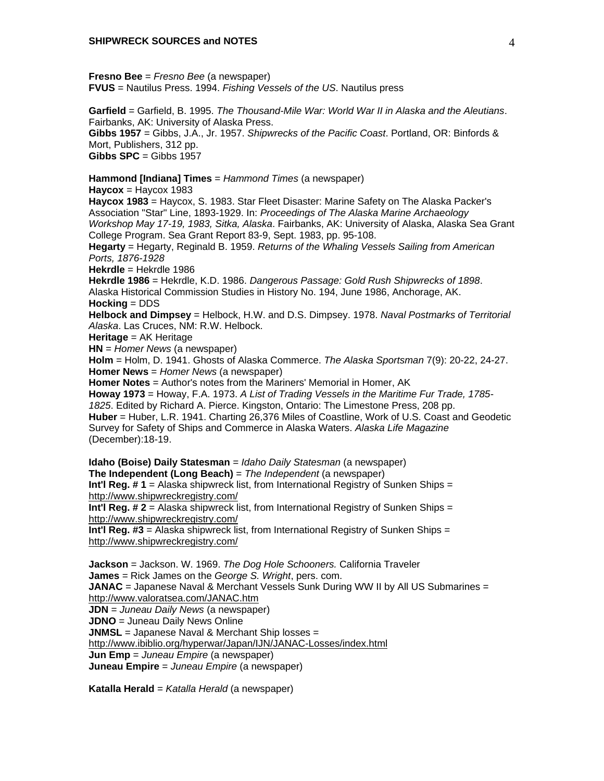**Fresno Bee** = *Fresno Bee* (a newspaper) **FVUS** = Nautilus Press. 1994. *Fishing Vessels of the US*. Nautilus press

**Garfield** = Garfield, B. 1995. *The Thousand-Mile War: World War II in Alaska and the Aleutians*. Fairbanks, AK: University of Alaska Press. **Gibbs 1957** = Gibbs, J.A., Jr. 1957. *Shipwrecks of the Pacific Coast*. Portland, OR: Binfords & Mort, Publishers, 312 pp. **Gibbs SPC** = Gibbs 1957

## **Hammond [Indiana] Times** = *Hammond Times* (a newspaper)

 $Haycox = Haycox 1983$ 

**Haycox 1983** = Haycox, S. 1983. Star Fleet Disaster: Marine Safety on The Alaska Packer's Association "Star" Line, 1893-1929. In: *Proceedings of The Alaska Marine Archaeology Workshop May 17-19, 1983, Sitka, Alaska*. Fairbanks, AK: University of Alaska, Alaska Sea Grant College Program. Sea Grant Report 83-9, Sept. 1983, pp. 95-108.

**Hegarty** = Hegarty, Reginald B. 1959. *Returns of the Whaling Vessels Sailing from American Ports, 1876-1928*

**Hekrdle** = Hekrdle 1986

**Hekrdle 1986** = Hekrdle, K.D. 1986. *Dangerous Passage: Gold Rush Shipwrecks of 1898*. Alaska Historical Commission Studies in History No. 194, June 1986, Anchorage, AK. **Hocking** = DDS

**Helbock and Dimpsey** = Helbock, H.W. and D.S. Dimpsey. 1978. *Naval Postmarks of Territorial Alaska*. Las Cruces, NM: R.W. Helbock.

**Heritage** = AK Heritage

**HN** = *Homer News* (a newspaper)

**Holm** = Holm, D. 1941. Ghosts of Alaska Commerce. *The Alaska Sportsman* 7(9): 20-22, 24-27. **Homer News** = *Homer News* (a newspaper)

**Homer Notes** = Author's notes from the Mariners' Memorial in Homer, AK

**Howay 1973** = Howay, F.A. 1973. *A List of Trading Vessels in the Maritime Fur Trade, 1785- 1825*. Edited by Richard A. Pierce. Kingston, Ontario: The Limestone Press, 208 pp.

**Huber** = Huber, L.R. 1941. Charting 26,376 Miles of Coastline, Work of U.S. Coast and Geodetic Survey for Safety of Ships and Commerce in Alaska Waters. *Alaska Life Magazine* (December):18-19.

**Idaho (Boise) Daily Statesman** = *Idaho Daily Statesman* (a newspaper) **The Independent (Long Beach)** = *The Independent* (a newspaper) **Int'l Reg. # 1** = Alaska shipwreck list, from International Registry of Sunken Ships = http://www.shipwreckregistry.com/

**Int'l Reg. # 2** = Alaska shipwreck list, from International Registry of Sunken Ships = http://www.shipwreckregistry.com/

**Int'l Reg. #3** = Alaska shipwreck list, from International Registry of Sunken Ships = http://www.shipwreckregistry.com/

**Jackson** = Jackson. W. 1969. *The Dog Hole Schooners.* California Traveler **James** = Rick James on the *George S. Wright*, pers. com. **JANAC** = Japanese Naval & Merchant Vessels Sunk During WW II by All US Submarines = http://www.valoratsea.com/JANAC.htm

**JDN** = *Juneau Daily News* (a newspaper)

**JDNO** = Juneau Daily News Online

**JNMSL** = Japanese Naval & Merchant Ship losses =

http://www.ibiblio.org/hyperwar/Japan/IJN/JANAC-Losses/index.html

**Jun Emp** = *Juneau Empire* (a newspaper)

**Juneau Empire** = *Juneau Empire* (a newspaper)

**Katalla Herald** = *Katalla Herald* (a newspaper)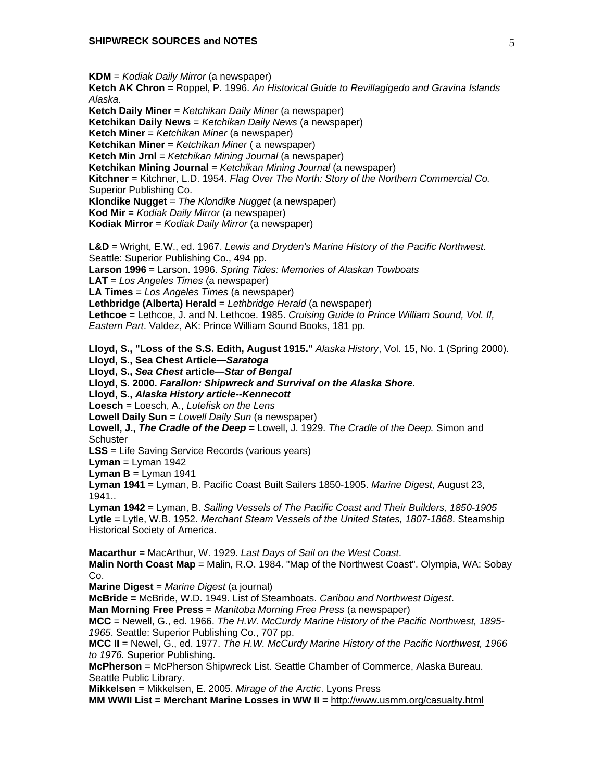**KDM** = *Kodiak Daily Mirror* (a newspaper)

**Ketch AK Chron** = Roppel, P. 1996. *An Historical Guide to Revillagigedo and Gravina Islands Alaska*.

**Ketch Daily Miner** = *Ketchikan Daily Miner* (a newspaper)

**Ketchikan Daily News** = *Ketchikan Daily News* (a newspaper)

**Ketch Miner** = *Ketchikan Miner* (a newspaper)

**Ketchikan Miner** = *Ketchikan Miner* ( a newspaper)

**Ketch Min Jrnl** = *Ketchikan Mining Journal* (a newspaper)

**Ketchikan Mining Journal** = *Ketchikan Mining Journal* (a newspaper)

**Kitchner** = Kitchner, L.D. 1954. *Flag Over The North: Story of the Northern Commercial Co.* Superior Publishing Co.

**Klondike Nugget** = *The Klondike Nugget* (a newspaper)

**Kod Mir** = *Kodiak Daily Mirror* (a newspaper)

**Kodiak Mirror** = *Kodiak Daily Mirror* (a newspaper)

**L&D** = Wright, E.W., ed. 1967. *Lewis and Dryden's Marine History of the Pacific Northwest*. Seattle: Superior Publishing Co., 494 pp. **Larson 1996** = Larson. 1996. *Spring Tides: Memories of Alaskan Towboats* **LAT** = *Los Angeles Times* (a newspaper)

**LA Times** = *Los Angeles Times* (a newspaper)

**Lethbridge (Alberta) Herald** = *Lethbridge Herald* (a newspaper)

**Lethcoe** = Lethcoe, J. and N. Lethcoe. 1985. *Cruising Guide to Prince William Sound, Vol. II, Eastern Part*. Valdez, AK: Prince William Sound Books, 181 pp.

**Lloyd, S., "Loss of the S.S. Edith, August 1915."** *Alaska History*, Vol. 15, No. 1 (Spring 2000).

**Lloyd, S., Sea Chest Article—***Saratoga*

**Lloyd, S.,** *Sea Chest* **article—***Star of Bengal*

**Lloyd, S. 2000.** *Farallon: Shipwreck and Survival on the Alaska Shore.* 

**Lloyd, S.,** *Alaska History article--Kennecott*

**Loesch** = Loesch, A., *Lutefisk on the Lens*

**Lowell Daily Sun** = *Lowell Daily Sun* (a newspaper)

**Lowell, J.,** *The Cradle of the Deep =* Lowell, J. 1929. *The Cradle of the Deep.* Simon and **Schuster** 

**LSS** = Life Saving Service Records (various years)

 $Lyman = Lyman 1942$ 

**Lyman B** = Lyman  $1941$ 

**Lyman 1941** = Lyman, B. Pacific Coast Built Sailers 1850-1905. *Marine Digest*, August 23, 1941..

**Lyman 1942** = Lyman, B. *Sailing Vessels of The Pacific Coast and Their Builders, 1850-1905* **Lytle** = Lytle, W.B. 1952. *Merchant Steam Vessels of the United States, 1807-1868*. Steamship Historical Society of America.

**Macarthur** = MacArthur, W. 1929. *Last Days of Sail on the West Coast*.

**Malin North Coast Map** = Malin, R.O. 1984. "Map of the Northwest Coast". Olympia, WA: Sobay Co.

**Marine Digest** = *Marine Digest* (a journal)

**McBride =** McBride, W.D. 1949. List of Steamboats. *Caribou and Northwest Digest*.

**Man Morning Free Press** = *Manitoba Morning Free Press* (a newspaper)

**MCC** = Newell, G., ed. 1966. *The H.W. McCurdy Marine History of the Pacific Northwest, 1895- 1965*. Seattle: Superior Publishing Co., 707 pp.

**MCC II** = Newel, G., ed. 1977. *The H.W. McCurdy Marine History of the Pacific Northwest, 1966 to 1976.* Superior Publishing.

**McPherson** = McPherson Shipwreck List. Seattle Chamber of Commerce, Alaska Bureau. Seattle Public Library.

**Mikkelsen** = Mikkelsen, E. 2005. *Mirage of the Arctic*. Lyons Press

**MM WWII List = Merchant Marine Losses in WW II =** http://www.usmm.org/casualty.html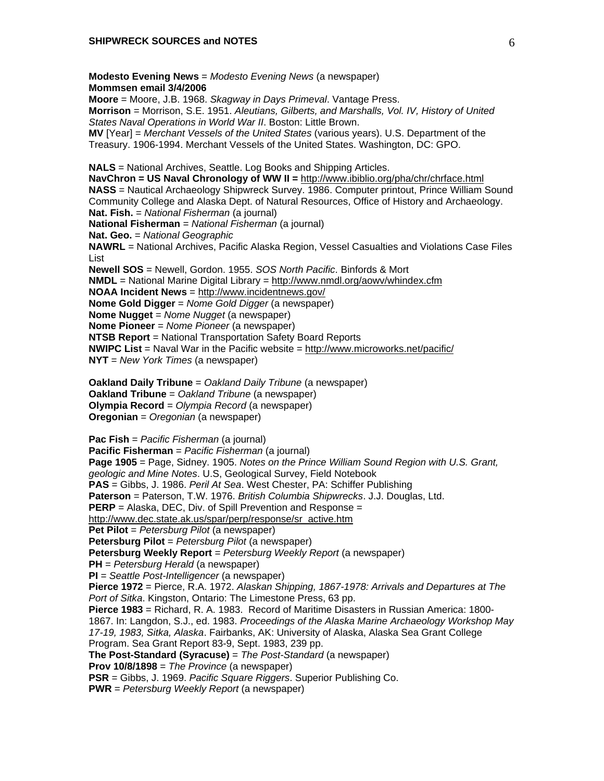**Modesto Evening News** = *Modesto Evening News* (a newspaper) **Mommsen email 3/4/2006 Moore** = Moore, J.B. 1968. *Skagway in Days Primeval*. Vantage Press. **Morrison** = Morrison, S.E. 1951. *Aleutians, Gilberts, and Marshalls, Vol. IV, History of United States Naval Operations in World War II*. Boston: Little Brown. **MV** [Year] = *Merchant Vessels of the United States* (various years). U.S. Department of the Treasury. 1906-1994. Merchant Vessels of the United States. Washington, DC: GPO. **NALS** = National Archives, Seattle. Log Books and Shipping Articles. **NavChron = US Naval Chronology of WW II =** http://www.ibiblio.org/pha/chr/chrface.html **NASS** = Nautical Archaeology Shipwreck Survey. 1986. Computer printout, Prince William Sound Community College and Alaska Dept. of Natural Resources, Office of History and Archaeology. **Nat. Fish.** = *National Fisherman* (a journal) **National Fisherman** = *National Fisherman* (a journal) **Nat. Geo.** = *National Geographic* **NAWRL** = National Archives, Pacific Alaska Region, Vessel Casualties and Violations Case Files List **Newell SOS** = Newell, Gordon. 1955. *SOS North Pacific*. Binfords & Mort **NMDL** = National Marine Digital Library = http://www.nmdl.org/aowv/whindex.cfm **NOAA Incident News** = http://www.incidentnews.gov/ **Nome Gold Digger** = *Nome Gold Digger* (a newspaper) **Nome Nugget** = *Nome Nugget* (a newspaper) **Nome Pioneer** = *Nome Pioneer* (a newspaper) **NTSB Report** = National Transportation Safety Board Reports **NWIPC List** = Naval War in the Pacific website = http://www.microworks.net/pacific/ **NYT** = *New York Times* (a newspaper) **Oakland Daily Tribune** = *Oakland Daily Tribune* (a newspaper) **Oakland Tribune** = *Oakland Tribune* (a newspaper) **Olympia Record** = *Olympia Record* (a newspaper) **Oregonian** = *Oregonian* (a newspaper)

**Pac Fish** = *Pacific Fisherman* (a journal) **Pacific Fisherman** = *Pacific Fisherman* (a journal) **Page 1905** = Page, Sidney. 1905. *Notes on the Prince William Sound Region with U.S. Grant, geologic and Mine Notes*. U.S, Geological Survey, Field Notebook **PAS** = Gibbs, J. 1986. *Peril At Sea*. West Chester, PA: Schiffer Publishing **Paterson** = Paterson, T.W. 1976. *British Columbia Shipwrecks*. J.J. Douglas, Ltd. **PERP** = Alaska, DEC, Div. of Spill Prevention and Response = http://www.dec.state.ak.us/spar/perp/response/sr\_active.htm **Pet Pilot** = *Petersburg Pilot* (a newspaper) **Petersburg Pilot** = *Petersburg Pilot* (a newspaper) **Petersburg Weekly Report** = *Petersburg Weekly Report* (a newspaper) **PH** = *Petersburg Herald* (a newspaper) **PI** = *Seattle Post-Intelligencer* (a newspaper) **Pierce 1972** = Pierce, R.A. 1972. *Alaskan Shipping, 1867-1978: Arrivals and Departures at The Port of Sitka*. Kingston, Ontario: The Limestone Press, 63 pp. **Pierce 1983** = Richard, R. A. 1983. Record of Maritime Disasters in Russian America: 1800- 1867. In: Langdon, S.J., ed. 1983. *Proceedings of the Alaska Marine Archaeology Workshop May 17-19, 1983, Sitka, Alaska*. Fairbanks, AK: University of Alaska, Alaska Sea Grant College Program. Sea Grant Report 83-9, Sept. 1983, 239 pp. **The Post-Standard (Syracuse)** = *The Post-Standard* (a newspaper) **Prov 10/8/1898** = *The Province* (a newspaper) **PSR** = Gibbs, J. 1969. *Pacific Square Riggers*. Superior Publishing Co. **PWR** = *Petersburg Weekly Report* (a newspaper)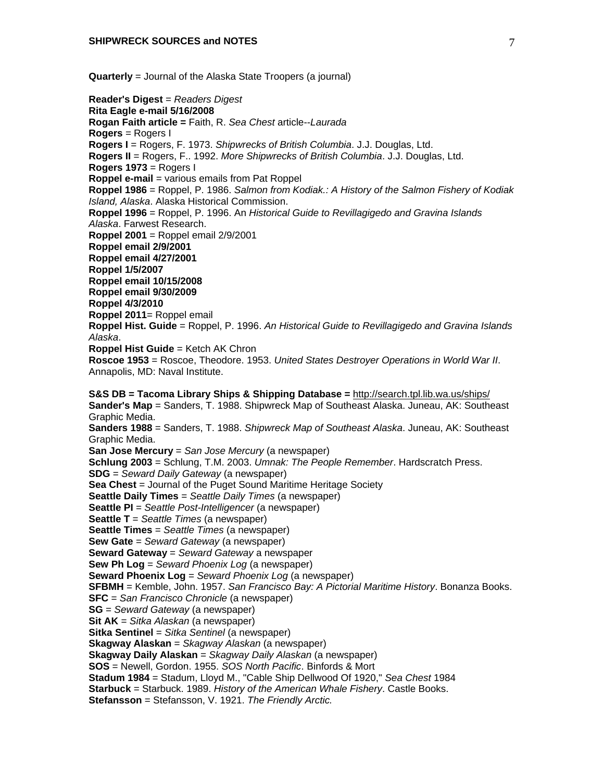**Quarterly** = Journal of the Alaska State Troopers (a journal)

**Reader's Digest** = *Readers Digest* **Rita Eagle e-mail 5/16/2008 Rogan Faith article =** Faith, R. *Sea Chest* article--*Laurada* **Rogers** = Rogers I **Rogers I** = Rogers, F. 1973. *Shipwrecks of British Columbia*. J.J. Douglas, Ltd. **Rogers II** = Rogers, F.. 1992. *More Shipwrecks of British Columbia*. J.J. Douglas, Ltd. **Rogers 1973** = Rogers I **Roppel e-mail** = various emails from Pat Roppel **Roppel 1986** = Roppel, P. 1986. *Salmon from Kodiak.: A History of the Salmon Fishery of Kodiak Island, Alaska*. Alaska Historical Commission. **Roppel 1996** = Roppel, P. 1996. An *Historical Guide to Revillagigedo and Gravina Islands Alaska*. Farwest Research. **Roppel 2001** = Roppel email 2/9/2001 **Roppel email 2/9/2001 Roppel email 4/27/2001 Roppel 1/5/2007 Roppel email 10/15/2008 Roppel email 9/30/2009 Roppel 4/3/2010 Roppel 2011**= Roppel email **Roppel Hist. Guide** = Roppel, P. 1996. *An Historical Guide to Revillagigedo and Gravina Islands Alaska*. **Roppel Hist Guide** = Ketch AK Chron **Roscoe 1953** = Roscoe, Theodore. 1953. *United States Destroyer Operations in World War II*. Annapolis, MD: Naval Institute. **S&S DB = Tacoma Library Ships & Shipping Database =** http://search.tpl.lib.wa.us/ships/ **Sander's Map** = Sanders, T. 1988. Shipwreck Map of Southeast Alaska. Juneau, AK: Southeast Graphic Media. **Sanders 1988** = Sanders, T. 1988. *Shipwreck Map of Southeast Alaska*. Juneau, AK: Southeast Graphic Media. **San Jose Mercury** = *San Jose Mercury* (a newspaper) **Schlung 2003** = Schlung, T.M. 2003. *Umnak: The People Remember*. Hardscratch Press. **SDG** = *Seward Daily Gateway* (a newspaper) **Sea Chest** = Journal of the Puget Sound Maritime Heritage Society **Seattle Daily Times** = *Seattle Daily Times* (a newspaper) **Seattle PI** = *Seattle Post-Intelligencer* (a newspaper) **Seattle T** = *Seattle Times* (a newspaper) **Seattle Times** = *Seattle Times* (a newspaper) **Sew Gate** = *Seward Gateway* (a newspaper) **Seward Gateway** = *Seward Gateway* a newspaper **Sew Ph Log** = *Seward Phoenix Log* (a newspaper) **Seward Phoenix Log** = *Seward Phoenix Log* (a newspaper) **SFBMH** = Kemble, John. 1957. *San Francisco Bay: A Pictorial Maritime History*. Bonanza Books. **SFC** = *San Francisco Chronicle* (a newspaper) **SG** = *Seward Gateway* (a newspaper) **Sit AK** = *Sitka Alaskan* (a newspaper) **Sitka Sentinel** = *Sitka Sentinel* (a newspaper) **Skagway Alaskan** = *Skagway Alaskan* (a newspaper) **Skagway Daily Alaskan** = *Skagway Daily Alaskan* (a newspaper) **SOS** = Newell, Gordon. 1955. *SOS North Pacific*. Binfords & Mort **Stadum 1984** = Stadum, Lloyd M., "Cable Ship Dellwood Of 1920," *Sea Chest* 1984 **Starbuck** = Starbuck. 1989. *History of the American Whale Fishery*. Castle Books. **Stefansson** = Stefansson, V. 1921. *The Friendly Arctic.*